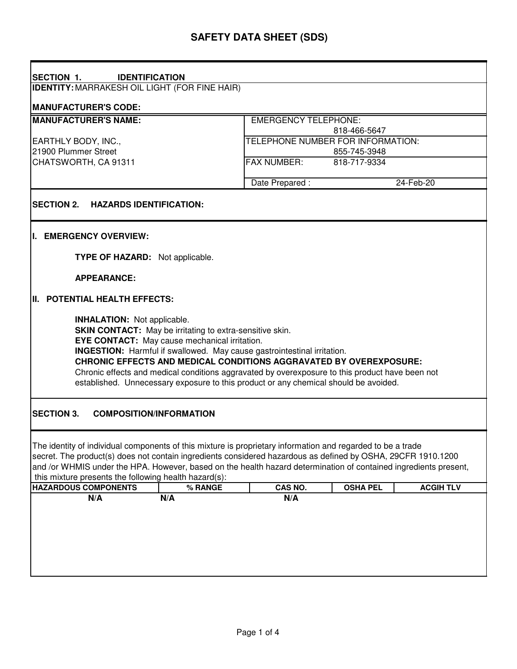| <b>SECTION 1.</b><br><b>IDENTIFICATION</b>                                                                                                                                                                                                                                                                                                                                                                                                                                                                              |                                   |                 |                  |
|-------------------------------------------------------------------------------------------------------------------------------------------------------------------------------------------------------------------------------------------------------------------------------------------------------------------------------------------------------------------------------------------------------------------------------------------------------------------------------------------------------------------------|-----------------------------------|-----------------|------------------|
| <b>IDENTITY: MARRAKESH OIL LIGHT (FOR FINE HAIR)</b>                                                                                                                                                                                                                                                                                                                                                                                                                                                                    |                                   |                 |                  |
| <b>MANUFACTURER'S CODE:</b>                                                                                                                                                                                                                                                                                                                                                                                                                                                                                             |                                   |                 |                  |
| <b>MANUFACTURER'S NAME:</b>                                                                                                                                                                                                                                                                                                                                                                                                                                                                                             | <b>EMERGENCY TELEPHONE:</b>       |                 |                  |
|                                                                                                                                                                                                                                                                                                                                                                                                                                                                                                                         |                                   | 818-466-5647    |                  |
| EARTHLY BODY, INC.,                                                                                                                                                                                                                                                                                                                                                                                                                                                                                                     | TELEPHONE NUMBER FOR INFORMATION: |                 |                  |
| 21900 Plummer Street                                                                                                                                                                                                                                                                                                                                                                                                                                                                                                    | 855-745-3948                      |                 |                  |
| CHATSWORTH, CA 91311                                                                                                                                                                                                                                                                                                                                                                                                                                                                                                    | <b>FAX NUMBER:</b>                | 818-717-9334    |                  |
|                                                                                                                                                                                                                                                                                                                                                                                                                                                                                                                         | Date Prepared:                    |                 | 24-Feb-20        |
| <b>SECTION 2.</b><br><b>HAZARDS IDENTIFICATION:</b>                                                                                                                                                                                                                                                                                                                                                                                                                                                                     |                                   |                 |                  |
| I. EMERGENCY OVERVIEW:                                                                                                                                                                                                                                                                                                                                                                                                                                                                                                  |                                   |                 |                  |
| <b>TYPE OF HAZARD:</b> Not applicable.                                                                                                                                                                                                                                                                                                                                                                                                                                                                                  |                                   |                 |                  |
| <b>APPEARANCE:</b>                                                                                                                                                                                                                                                                                                                                                                                                                                                                                                      |                                   |                 |                  |
| <b>II. POTENTIAL HEALTH EFFECTS:</b>                                                                                                                                                                                                                                                                                                                                                                                                                                                                                    |                                   |                 |                  |
| <b>INHALATION:</b> Not applicable.<br><b>SKIN CONTACT:</b> May be irritating to extra-sensitive skin.<br><b>EYE CONTACT:</b> May cause mechanical irritation.<br><b>INGESTION:</b> Harmful if swallowed. May cause gastrointestinal irritation.<br><b>CHRONIC EFFECTS AND MEDICAL CONDITIONS AGGRAVATED BY OVEREXPOSURE:</b><br>Chronic effects and medical conditions aggravated by overexposure to this product have been not<br>established. Unnecessary exposure to this product or any chemical should be avoided. |                                   |                 |                  |
| <b>SECTION 3.</b><br><b>COMPOSITION/INFORMATION</b>                                                                                                                                                                                                                                                                                                                                                                                                                                                                     |                                   |                 |                  |
| The identity of individual components of this mixture is proprietary information and regarded to be a trade<br>secret. The product(s) does not contain ingredients considered hazardous as defined by OSHA, 29CFR 1910.1200<br>and /or WHMIS under the HPA. However, based on the health hazard determination of contained ingredients present,<br>this mixture presents the following health hazard(s):                                                                                                                |                                   |                 |                  |
| <b>HAZARDOUS COMPONENTS</b><br>% RANGE                                                                                                                                                                                                                                                                                                                                                                                                                                                                                  | CAS NO.                           | <b>OSHA PEL</b> | <b>ACGIH TLV</b> |
| N/A<br>N/A                                                                                                                                                                                                                                                                                                                                                                                                                                                                                                              | N/A                               |                 |                  |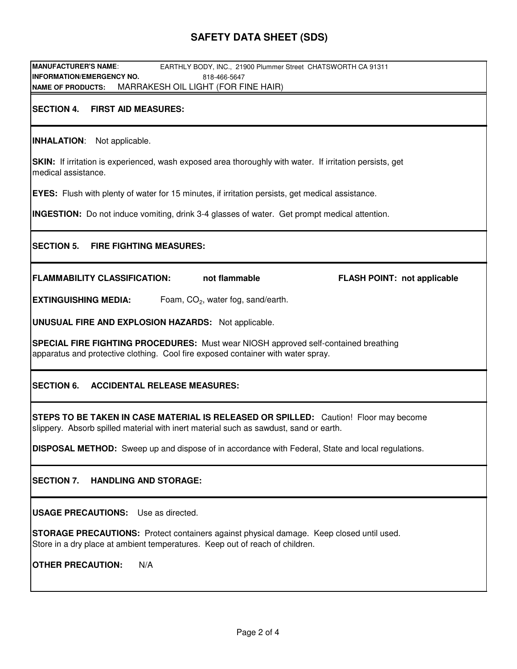# **SAFETY DATA SHEET (SDS)**

| MANUFACTURER'S NAME:<br>EARTHLY BODY, INC., 21900 Plummer Street CHATSWORTH CA 91311                                                                                           |  |  |  |
|--------------------------------------------------------------------------------------------------------------------------------------------------------------------------------|--|--|--|
| <b>INFORMATION/EMERGENCY NO.</b><br>818-466-5647                                                                                                                               |  |  |  |
| MARRAKESH OIL LIGHT (FOR FINE HAIR)<br><b>NAME OF PRODUCTS:</b>                                                                                                                |  |  |  |
| <b>SECTION 4.</b><br><b>FIRST AID MEASURES:</b>                                                                                                                                |  |  |  |
| <b>INHALATION:</b> Not applicable.                                                                                                                                             |  |  |  |
| <b>SKIN:</b> If irritation is experienced, wash exposed area thoroughly with water. If irritation persists, get<br>medical assistance.                                         |  |  |  |
| <b>EYES:</b> Flush with plenty of water for 15 minutes, if irritation persists, get medical assistance.                                                                        |  |  |  |
| <b>INGESTION:</b> Do not induce vomiting, drink 3-4 glasses of water. Get prompt medical attention.                                                                            |  |  |  |
| <b>FIRE FIGHTING MEASURES:</b><br><b>SECTION 5.</b>                                                                                                                            |  |  |  |
| <b>FLAMMABILITY CLASSIFICATION:</b><br>not flammable<br><b>FLASH POINT: not applicable</b>                                                                                     |  |  |  |
| Foam, $CO2$ , water fog, sand/earth.<br><b>EXTINGUISHING MEDIA:</b>                                                                                                            |  |  |  |
| <b>UNUSUAL FIRE AND EXPLOSION HAZARDS:</b> Not applicable.                                                                                                                     |  |  |  |
| <b>SPECIAL FIRE FIGHTING PROCEDURES:</b> Must wear NIOSH approved self-contained breathing<br>apparatus and protective clothing. Cool fire exposed container with water spray. |  |  |  |
| <b>SECTION 6.</b><br><b>ACCIDENTAL RELEASE MEASURES:</b>                                                                                                                       |  |  |  |
| STEPS TO BE TAKEN IN CASE MATERIAL IS RELEASED OR SPILLED: Caution! Floor may become<br>slippery. Absorb spilled material with inert material such as sawdust, sand or earth.  |  |  |  |
| <b>DISPOSAL METHOD:</b> Sweep up and dispose of in accordance with Federal, State and local regulations.                                                                       |  |  |  |
| <b>SECTION 7.</b><br><b>HANDLING AND STORAGE:</b>                                                                                                                              |  |  |  |
| <b>USAGE PRECAUTIONS:</b> Use as directed.                                                                                                                                     |  |  |  |
| STORAGE PRECAUTIONS: Protect containers against physical damage. Keep closed until used.<br>Store in a dry place at ambient temperatures. Keep out of reach of children.       |  |  |  |
| <b>OTHER PRECAUTION:</b><br>N/A                                                                                                                                                |  |  |  |
|                                                                                                                                                                                |  |  |  |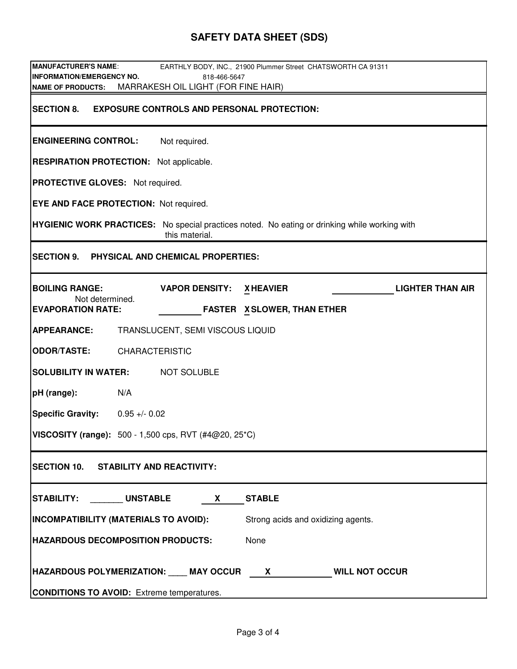# **SAFETY DATA SHEET (SDS)**

| <b>MANUFACTURER'S NAME:</b><br>EARTHLY BODY, INC., 21900 Plummer Street CHATSWORTH CA 91311                            |  |  |  |
|------------------------------------------------------------------------------------------------------------------------|--|--|--|
| <b>INFORMATION/EMERGENCY NO.</b><br>818-466-5647                                                                       |  |  |  |
| MARRAKESH OIL LIGHT (FOR FINE HAIR)<br><b>NAME OF PRODUCTS:</b>                                                        |  |  |  |
| <b>EXPOSURE CONTROLS AND PERSONAL PROTECTION:</b><br><b>SECTION 8.</b>                                                 |  |  |  |
| <b>ENGINEERING CONTROL:</b><br>Not required.                                                                           |  |  |  |
| <b>RESPIRATION PROTECTION:</b> Not applicable.                                                                         |  |  |  |
| <b>PROTECTIVE GLOVES:</b> Not required.                                                                                |  |  |  |
| <b>EYE AND FACE PROTECTION: Not required.</b>                                                                          |  |  |  |
| <b>HYGIENIC WORK PRACTICES:</b> No special practices noted. No eating or drinking while working with<br>this material. |  |  |  |
| SECTION 9. PHYSICAL AND CHEMICAL PROPERTIES:                                                                           |  |  |  |
| <b>BOILING RANGE:</b><br><b>VAPOR DENSITY:</b><br><b>LIGHTER THAN AIR</b><br><b>XHEAVIER</b>                           |  |  |  |
| Not determined.<br><b>EVAPORATION RATE:</b><br><b>FASTER X SLOWER, THAN ETHER</b>                                      |  |  |  |
| <b>APPEARANCE:</b><br>TRANSLUCENT, SEMI VISCOUS LIQUID                                                                 |  |  |  |
| <b>ODOR/TASTE:</b><br><b>CHARACTERISTIC</b>                                                                            |  |  |  |
| <b>SOLUBILITY IN WATER:</b><br><b>NOT SOLUBLE</b>                                                                      |  |  |  |
| N/A<br>pH (range):                                                                                                     |  |  |  |
| <b>Specific Gravity:</b><br>$0.95 + 0.02$                                                                              |  |  |  |
| <b>VISCOSITY (range):</b> 500 - 1,500 cps, RVT (#4@20, 25*C)                                                           |  |  |  |
| SECTION 10. STABILITY AND REACTIVITY:                                                                                  |  |  |  |
| STABILITY: UNSTABLE<br><b>STABLE</b><br><b>X</b>                                                                       |  |  |  |
| <b>INCOMPATIBILITY (MATERIALS TO AVOID):</b><br>Strong acids and oxidizing agents.                                     |  |  |  |
| <b>HAZARDOUS DECOMPOSITION PRODUCTS:</b><br>None                                                                       |  |  |  |
| HAZARDOUS POLYMERIZATION: ____ MAY OCCUR X<br><b>WILL NOT OCCUR</b>                                                    |  |  |  |
| <b>CONDITIONS TO AVOID:</b> Extreme temperatures.                                                                      |  |  |  |